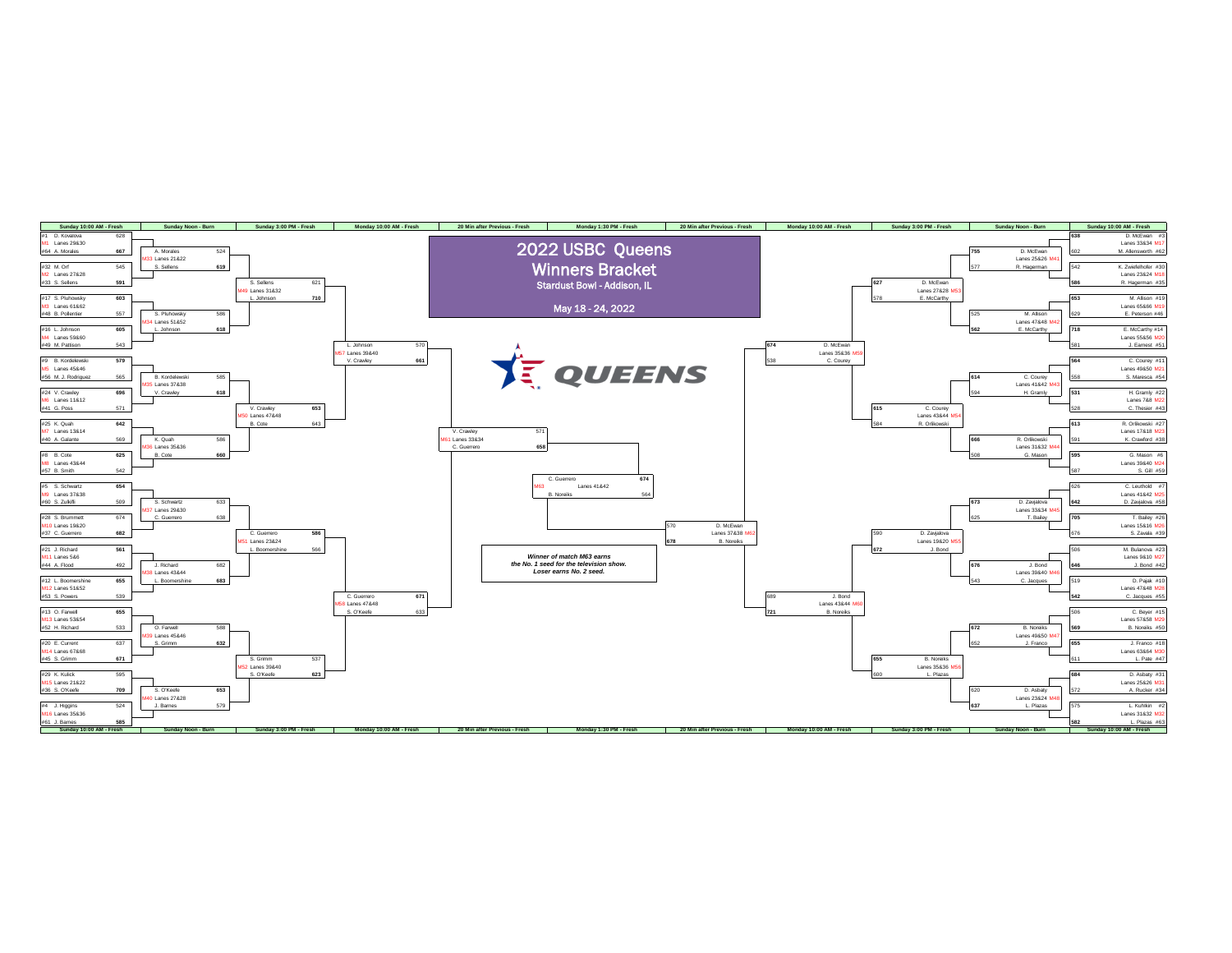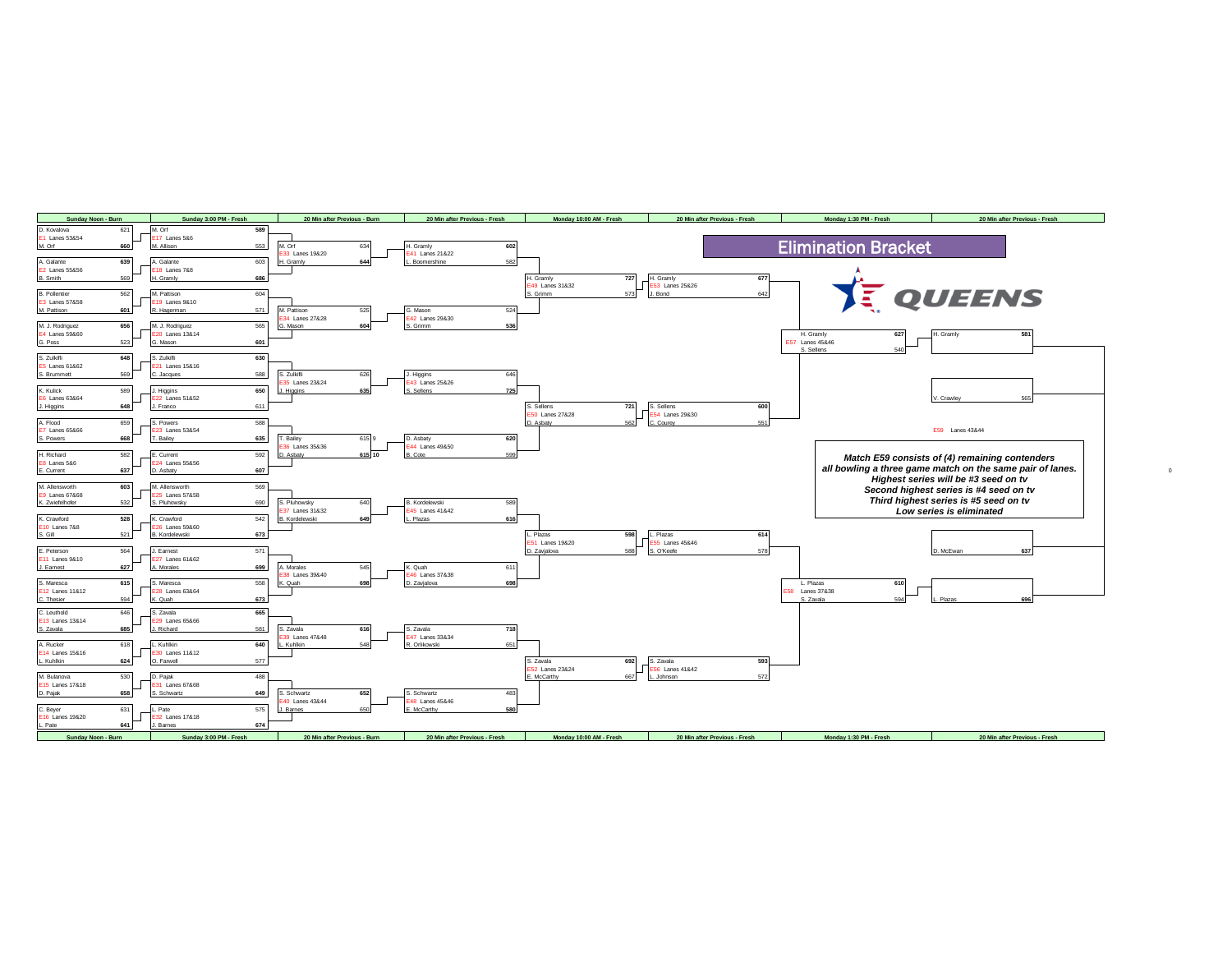